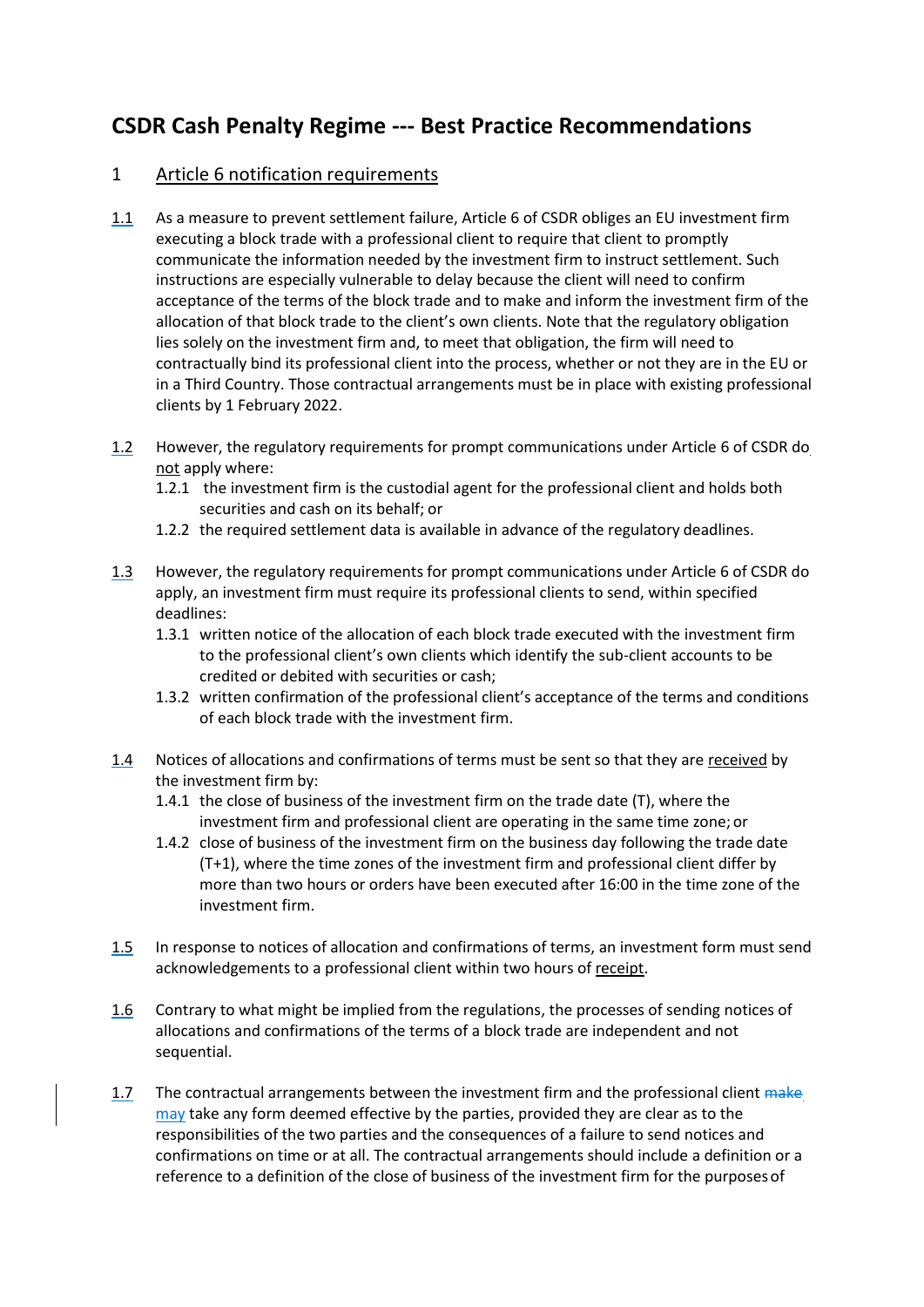# **CSDR Cash Penalty Regime --- Best Practice Recommendations**

## 1 Article 6 notification requirements

- 1.1 As a measure to prevent settlement failure, Article 6 of CSDR obliges an EU investment firm executing a block trade with a professional client to require that client to promptly communicate the information needed by the investment firm to instruct settlement. Such instructions are especially vulnerable to delay because the client will need to confirm acceptance of the terms of the block trade and to make and inform the investment firm of the allocation of that block trade to the client's own clients. Note that the regulatory obligation lies solely on the investment firm and, to meet that obligation, the firm will need to contractually bind its professional client into the process, whether or not they are in the EU or in a Third Country. Those contractual arrangements must be in place with existing professional clients by 1 February 2022.
- 1.2 However, the regulatory requirements for prompt communications under Article 6 of CSDR do not apply where:
	- 1.2.1 the investment firm is the custodial agent for the professional client and holds both securities and cash on its behalf; or
	- 1.2.2 the required settlement data is available in advance of the regulatory deadlines.
- 1.3 However, the regulatory requirements for prompt communications under Article 6 of CSDR do apply, an investment firm must require its professional clients to send, within specified deadlines:
	- 1.3.1 written notice of the allocation of each block trade executed with the investment firm to the professional client's own clients which identify the sub-client accounts to be credited or debited with securities or cash;
	- 1.3.2 written confirmation of the professional client's acceptance of the terms and conditions of each block trade with the investment firm.
- 1.4 Notices of allocations and confirmations of terms must be sent so that they are received by the investment firm by:
	- 1.4.1 the close of business of the investment firm on the trade date (T), where the investment firm and professional client are operating in the same time zone; or
	- 1.4.2 close of business of the investment firm on the business day following the trade date (T+1), where the time zones of the investment firm and professional client differ by more than two hours or orders have been executed after 16:00 in the time zone of the investment firm.
- 1.5 In response to notices of allocation and confirmations of terms, an investment form must send acknowledgements to a professional client within two hours of receipt.
- 1.6 Contrary to what might be implied from the regulations, the processes of sending notices of allocations and confirmations of the terms of a block trade are independent and not sequential.
- 1.7 The contractual arrangements between the investment firm and the professional client make may take any form deemed effective by the parties, provided they are clear as to the responsibilities of the two parties and the consequences of a failure to send notices and confirmations on time or at all. The contractual arrangements should include a definition or a reference to a definition of the close of business of the investment firm for the purposesof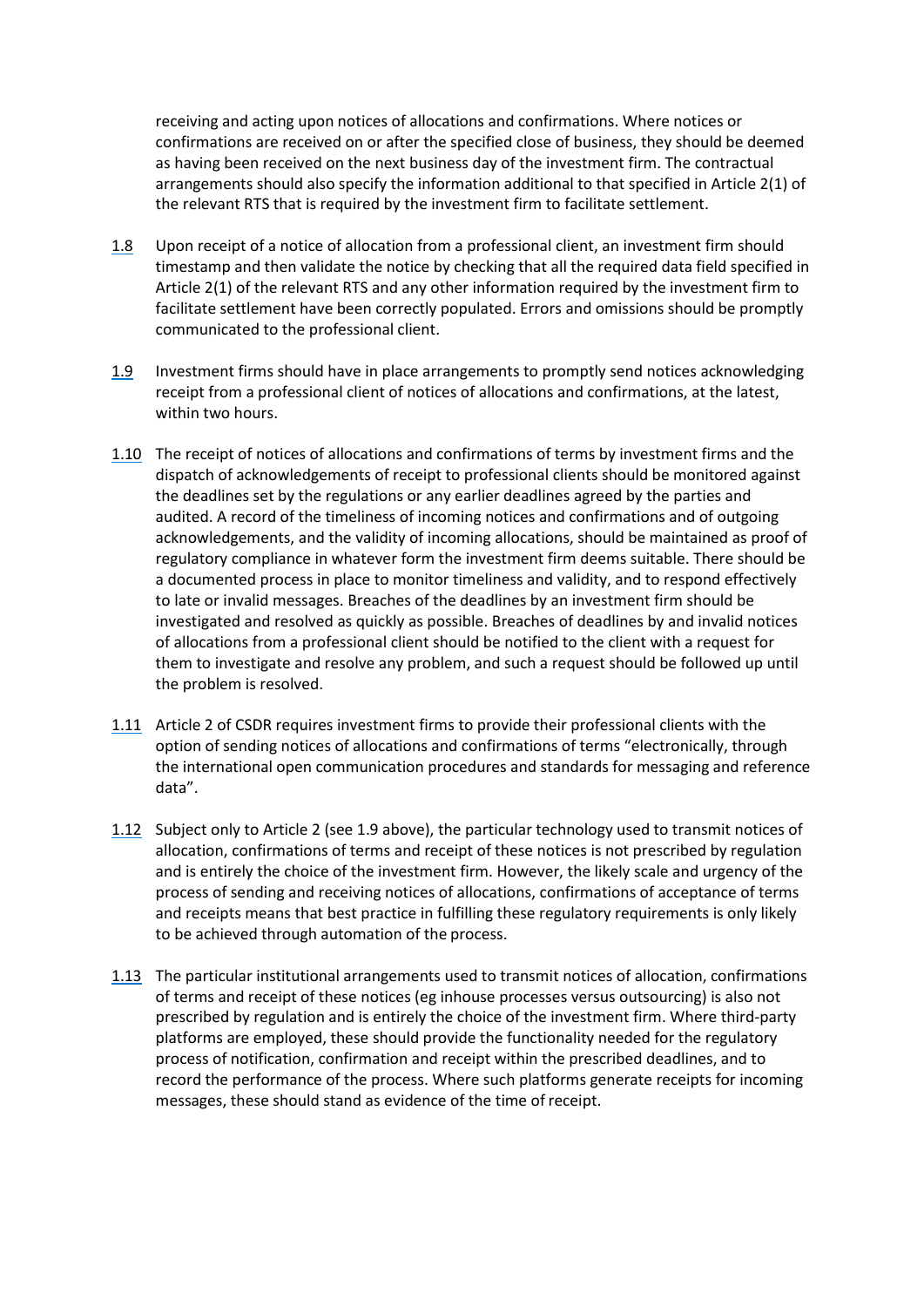receiving and acting upon notices of allocations and confirmations. Where notices or confirmations are received on or after the specified close of business, they should be deemed as having been received on the next business day of the investment firm. The contractual arrangements should also specify the information additional to that specified in Article 2(1) of the relevant RTS that is required by the investment firm to facilitate settlement.

- 1.8 Upon receipt of a notice of allocation from a professional client, an investment firm should timestamp and then validate the notice by checking that all the required data field specified in Article 2(1) of the relevant RTS and any other information required by the investment firm to facilitate settlement have been correctly populated. Errors and omissions should be promptly communicated to the professional client.
- 1.9 Investment firms should have in place arrangements to promptly send notices acknowledging receipt from a professional client of notices of allocations and confirmations, at the latest, within two hours.
- 1.10 The receipt of notices of allocations and confirmations of terms by investment firms and the dispatch of acknowledgements of receipt to professional clients should be monitored against the deadlines set by the regulations or any earlier deadlines agreed by the parties and audited. A record of the timeliness of incoming notices and confirmations and of outgoing acknowledgements, and the validity of incoming allocations, should be maintained as proof of regulatory compliance in whatever form the investment firm deems suitable. There should be a documented process in place to monitor timeliness and validity, and to respond effectively to late or invalid messages. Breaches of the deadlines by an investment firm should be investigated and resolved as quickly as possible. Breaches of deadlines by and invalid notices of allocations from a professional client should be notified to the client with a request for them to investigate and resolve any problem, and such a request should be followed up until the problem is resolved.
- 1.11 Article 2 of CSDR requires investment firms to provide their professional clients with the option of sending notices of allocations and confirmations of terms "electronically, through the international open communication procedures and standards for messaging and reference data".
- 1.12 Subject only to Article 2 (see 1.9 above), the particular technology used to transmit notices of allocation, confirmations of terms and receipt of these notices is not prescribed by regulation and is entirely the choice of the investment firm. However, the likely scale and urgency of the process of sending and receiving notices of allocations, confirmations of acceptance of terms and receipts means that best practice in fulfilling these regulatory requirements is only likely to be achieved through automation of the process.
- 1.13 The particular institutional arrangements used to transmit notices of allocation, confirmations of terms and receipt of these notices (eg inhouse processes versus outsourcing) is also not prescribed by regulation and is entirely the choice of the investment firm. Where third-party platforms are employed, these should provide the functionality needed for the regulatory process of notification, confirmation and receipt within the prescribed deadlines, and to record the performance of the process. Where such platforms generate receipts for incoming messages, these should stand as evidence of the time of receipt.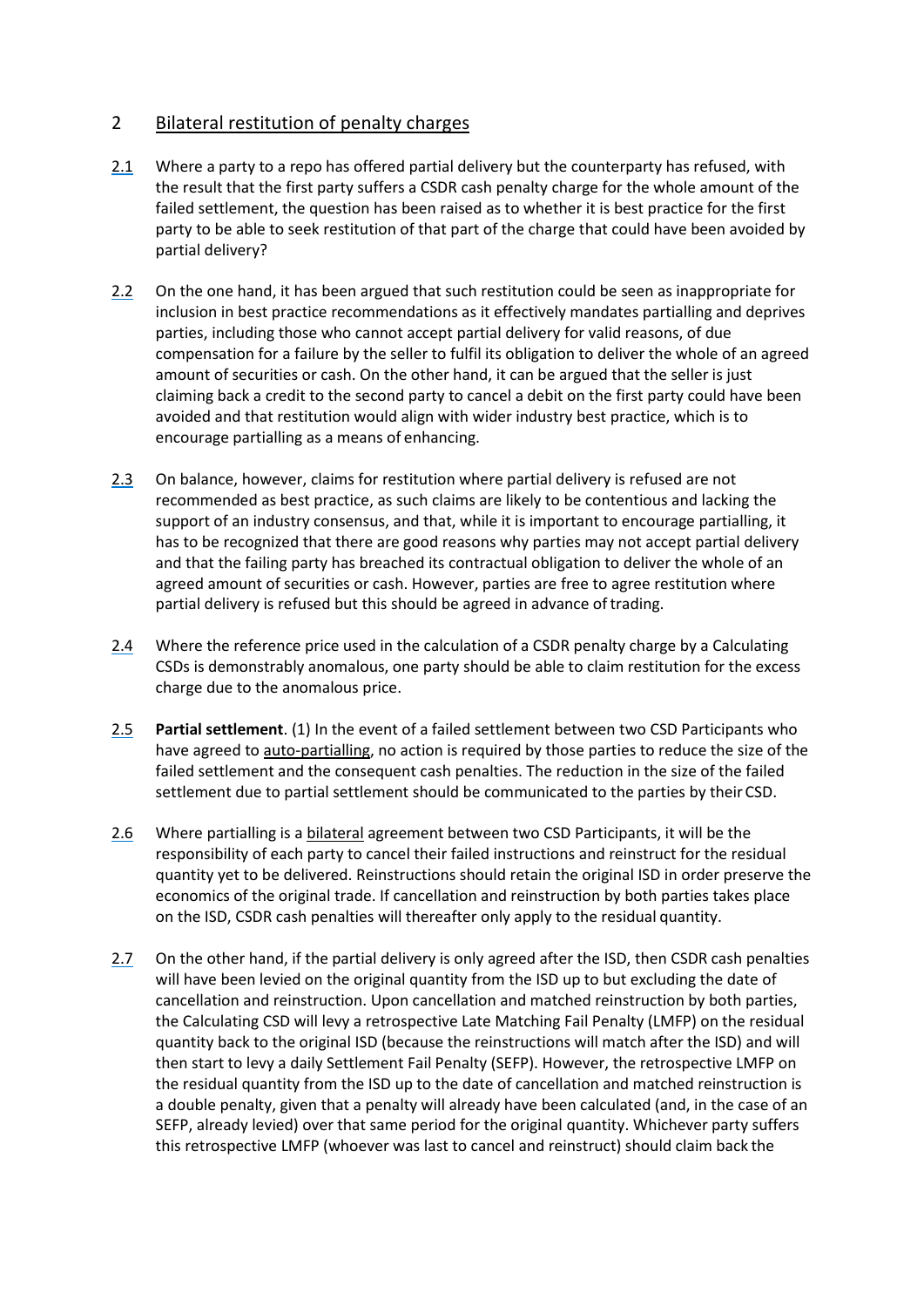## 2 Bilateral restitution of penalty charges

- 2.1 Where a party to a repo has offered partial delivery but the counterparty has refused, with the result that the first party suffers a CSDR cash penalty charge for the whole amount of the failed settlement, the question has been raised as to whether it is best practice for the first party to be able to seek restitution of that part of the charge that could have been avoided by partial delivery?
- 2.2 On the one hand, it has been argued that such restitution could be seen as inappropriate for inclusion in best practice recommendations as it effectively mandates partialling and deprives parties, including those who cannot accept partial delivery for valid reasons, of due compensation for a failure by the seller to fulfil its obligation to deliver the whole of an agreed amount of securities or cash. On the other hand, it can be argued that the seller is just claiming back a credit to the second party to cancel a debit on the first party could have been avoided and that restitution would align with wider industry best practice, which is to encourage partialling as a means of enhancing.
- 2.3 On balance, however, claims for restitution where partial delivery is refused are not recommended as best practice, as such claims are likely to be contentious and lacking the support of an industry consensus, and that, while it is important to encourage partialling, it has to be recognized that there are good reasons why parties may not accept partial delivery and that the failing party has breached its contractual obligation to deliver the whole of an agreed amount of securities or cash. However, parties are free to agree restitution where partial delivery is refused but this should be agreed in advance of trading.
- 2.4 Where the reference price used in the calculation of a CSDR penalty charge by a Calculating CSDs is demonstrably anomalous, one party should be able to claim restitution for the excess charge due to the anomalous price.
- 2.5 **Partial settlement**. (1) In the event of a failed settlement between two CSD Participants who have agreed to auto-partialling, no action is required by those parties to reduce the size of the failed settlement and the consequent cash penalties. The reduction in the size of the failed settlement due to partial settlement should be communicated to the parties by their CSD.
- 2.6 Where partialling is a bilateral agreement between two CSD Participants, it will be the responsibility of each party to cancel their failed instructions and reinstruct for the residual quantity yet to be delivered. Reinstructions should retain the original ISD in order preserve the economics of the original trade. If cancellation and reinstruction by both parties takes place on the ISD, CSDR cash penalties will thereafter only apply to the residual quantity.
- 2.7 On the other hand, if the partial delivery is only agreed after the ISD, then CSDR cash penalties will have been levied on the original quantity from the ISD up to but excluding the date of cancellation and reinstruction. Upon cancellation and matched reinstruction by both parties, the Calculating CSD will levy a retrospective Late Matching Fail Penalty (LMFP) on the residual quantity back to the original ISD (because the reinstructions will match after the ISD) and will then start to levy a daily Settlement Fail Penalty (SEFP). However, the retrospective LMFP on the residual quantity from the ISD up to the date of cancellation and matched reinstruction is a double penalty, given that a penalty will already have been calculated (and, in the case of an SEFP, already levied) over that same period for the original quantity. Whichever party suffers this retrospective LMFP (whoever was last to cancel and reinstruct) should claim back the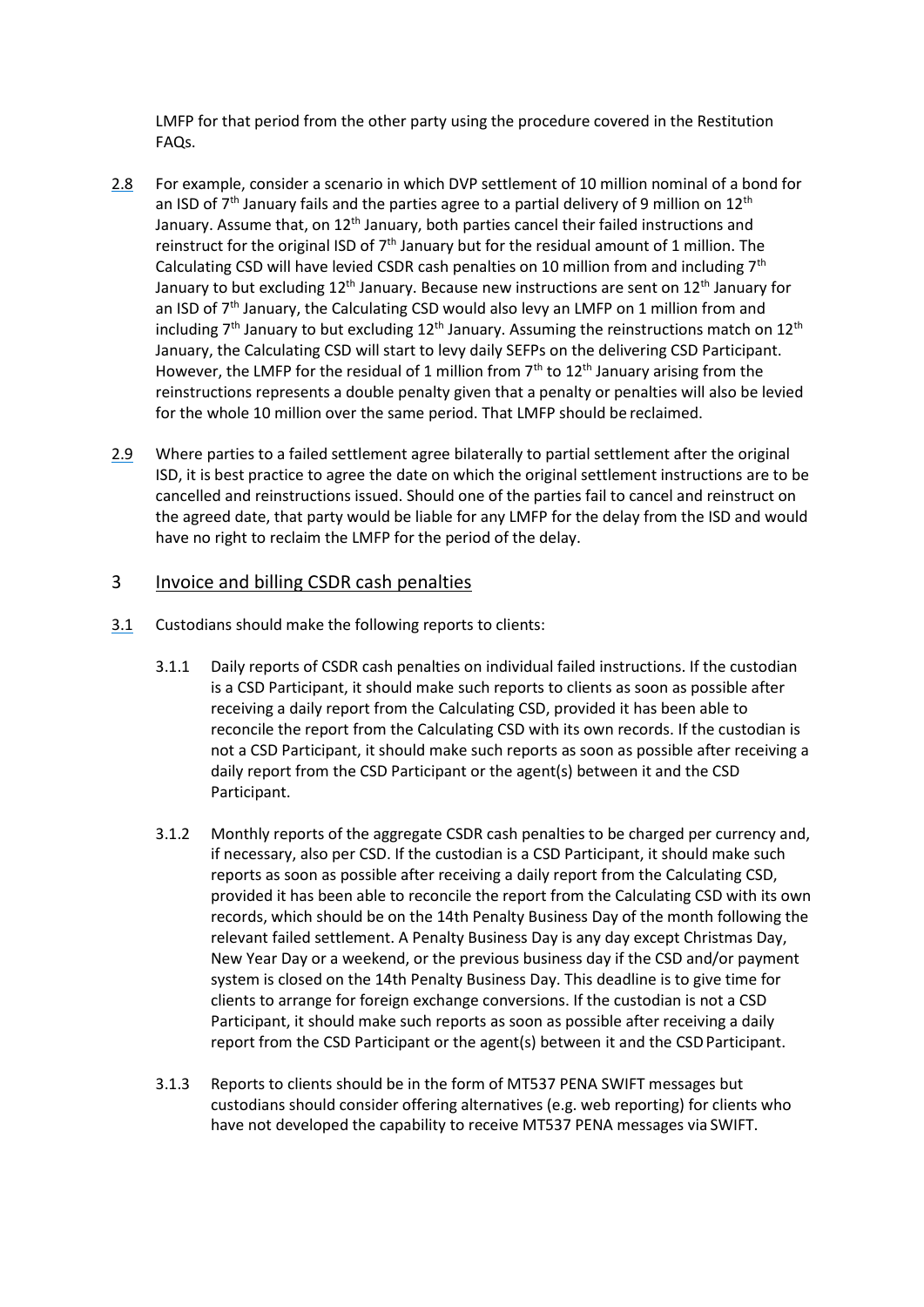LMFP for that period from the other party using the procedure covered in the Restitution FAQs.

- 2.8 For example, consider a scenario in which DVP settlement of 10 million nominal of a bond for an ISD of  $7<sup>th</sup>$  January fails and the parties agree to a partial delivery of 9 million on 12<sup>th</sup> January. Assume that, on  $12<sup>th</sup>$  January, both parties cancel their failed instructions and reinstruct for the original ISD of  $7<sup>th</sup>$  January but for the residual amount of 1 million. The Calculating CSD will have levied CSDR cash penalties on 10 million from and including  $7<sup>th</sup>$ January to but excluding 12<sup>th</sup> January. Because new instructions are sent on 12<sup>th</sup> January for an ISD of  $7<sup>th</sup>$  January, the Calculating CSD would also levy an LMFP on 1 million from and including  $7<sup>th</sup>$  January to but excluding  $12<sup>th</sup>$  January. Assuming the reinstructions match on  $12<sup>th</sup>$ January, the Calculating CSD will start to levy daily SEFPs on the delivering CSD Participant. However, the LMFP for the residual of 1 million from  $7<sup>th</sup>$  to  $12<sup>th</sup>$  January arising from the reinstructions represents a double penalty given that a penalty or penalties will also be levied for the whole 10 million over the same period. That LMFP should be reclaimed.
- 2.9 Where parties to a failed settlement agree bilaterally to partial settlement after the original ISD, it is best practice to agree the date on which the original settlement instructions are to be cancelled and reinstructions issued. Should one of the parties fail to cancel and reinstruct on the agreed date, that party would be liable for any LMFP for the delay from the ISD and would have no right to reclaim the LMFP for the period of the delay.

#### 3 Invoice and billing CSDR cash penalties

- 3.1 Custodians should make the following reports to clients:
	- 3.1.1 Daily reports of CSDR cash penalties on individual failed instructions. If the custodian is a CSD Participant, it should make such reports to clients as soon as possible after receiving a daily report from the Calculating CSD, provided it has been able to reconcile the report from the Calculating CSD with its own records. If the custodian is not a CSD Participant, it should make such reports as soon as possible after receiving a daily report from the CSD Participant or the agent(s) between it and the CSD Participant.
	- 3.1.2 Monthly reports of the aggregate CSDR cash penalties to be charged per currency and, if necessary, also per CSD. If the custodian is a CSD Participant, it should make such reports as soon as possible after receiving a daily report from the Calculating CSD, provided it has been able to reconcile the report from the Calculating CSD with its own records, which should be on the 14th Penalty Business Day of the month following the relevant failed settlement. A Penalty Business Day is any day except Christmas Day, New Year Day or a weekend, or the previous business day if the CSD and/or payment system is closed on the 14th Penalty Business Day. This deadline is to give time for clients to arrange for foreign exchange conversions. If the custodian is not a CSD Participant, it should make such reports as soon as possible after receiving a daily report from the CSD Participant or the agent(s) between it and the CSD Participant.
	- 3.1.3 Reports to clients should be in the form of MT537 PENA SWIFT messages but custodians should consider offering alternatives (e.g. web reporting) for clients who have not developed the capability to receive MT537 PENA messages via SWIFT.